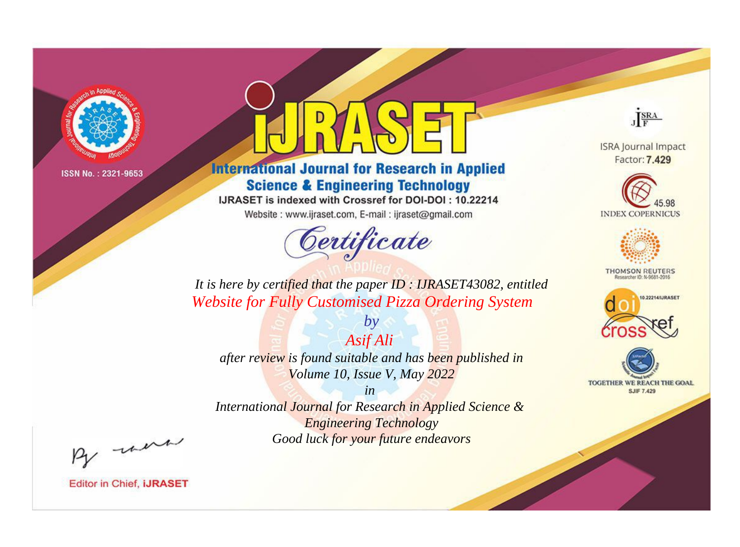

# **International Journal for Research in Applied Science & Engineering Technology**

IJRASET is indexed with Crossref for DOI-DOI: 10.22214

Website: www.ijraset.com, E-mail: ijraset@gmail.com



JERA

**ISRA Journal Impact** Factor: 7.429





**THOMSON REUTERS** 



TOGETHER WE REACH THE GOAL **SJIF 7.429** 

*It is here by certified that the paper ID : IJRASET43082, entitled Website for Fully Customised Pizza Ordering System*

*Asif Ali after review is found suitable and has been published in Volume 10, Issue V, May 2022*

*by*

*in* 

*International Journal for Research in Applied Science & Engineering Technology Good luck for your future endeavors*

By morn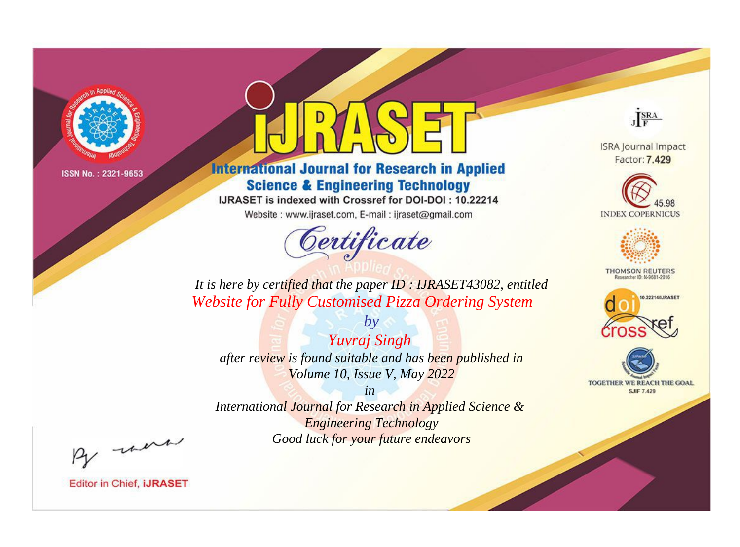

# **International Journal for Research in Applied Science & Engineering Technology**

IJRASET is indexed with Crossref for DOI-DOI: 10.22214

Website: www.ijraset.com, E-mail: ijraset@gmail.com



JERA

**ISRA Journal Impact** Factor: 7.429





**THOMSON REUTERS** 



TOGETHER WE REACH THE GOAL **SJIF 7.429** 

*It is here by certified that the paper ID : IJRASET43082, entitled Website for Fully Customised Pizza Ordering System*

*by Yuvraj Singh after review is found suitable and has been published in Volume 10, Issue V, May 2022*

*in* 

*International Journal for Research in Applied Science & Engineering Technology Good luck for your future endeavors*

By morn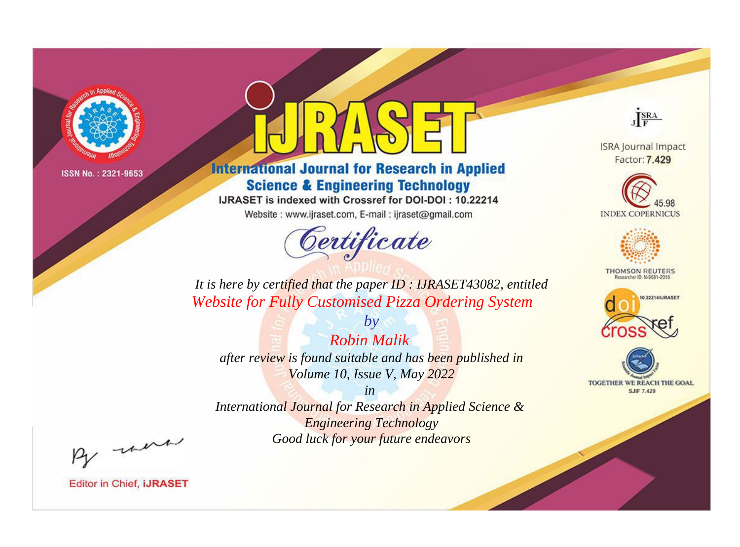

# **International Journal for Research in Applied Science & Engineering Technology**

IJRASET is indexed with Crossref for DOI-DOI: 10.22214

Website: www.ijraset.com, E-mail: ijraset@gmail.com



JERA

**ISRA Journal Impact** Factor: 7.429





**THOMSON REUTERS** 



TOGETHER WE REACH THE GOAL **SJIF 7.429** 

*It is here by certified that the paper ID : IJRASET43082, entitled Website for Fully Customised Pizza Ordering System*

*by Robin Malik after review is found suitable and has been published in Volume 10, Issue V, May 2022*

*in* 

*International Journal for Research in Applied Science & Engineering Technology Good luck for your future endeavors*

By morn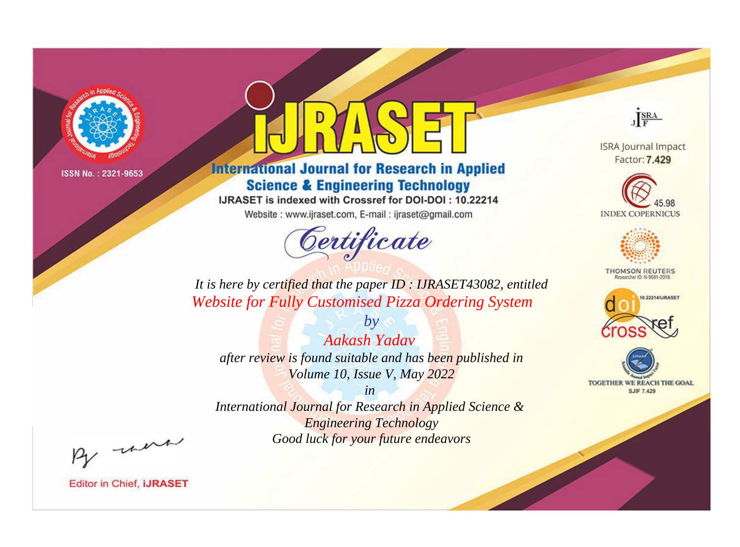

# **International Journal for Research in Applied Science & Engineering Technology**

IJRASET is indexed with Crossref for DOI-DOI: 10.22214

Website: www.ijraset.com, E-mail: ijraset@gmail.com



JERA

**ISRA Journal Impact** Factor: 7.429





**THOMSON REUTERS** 



TOGETHER WE REACH THE GOAL **SJIF 7.429** 

*It is here by certified that the paper ID : IJRASET43082, entitled Website for Fully Customised Pizza Ordering System*

*by Aakash Yadav after review is found suitable and has been published in Volume 10, Issue V, May 2022*

*in* 

*International Journal for Research in Applied Science & Engineering Technology Good luck for your future endeavors*

By morn